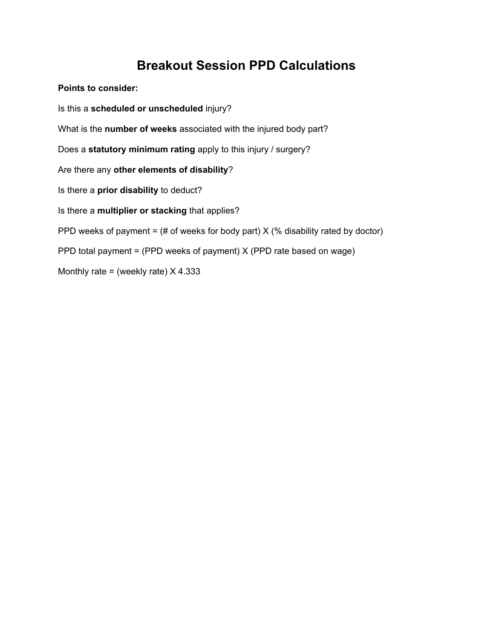## **Breakout Session PPD Calculations**

**Points to consider:**

Is this a **scheduled or unscheduled** injury? What is the **number of weeks** associated with the injured body part? Does a **statutory minimum rating** apply to this injury / surgery? Are there any **other elements of disability**? Is there a **prior disability** to deduct? Is there a **multiplier or stacking** that applies? PPD weeks of payment =  $#$  of weeks for body part) X (% disability rated by doctor) PPD total payment = (PPD weeks of payment) X (PPD rate based on wage) Monthly rate = (weekly rate)  $X$  4.333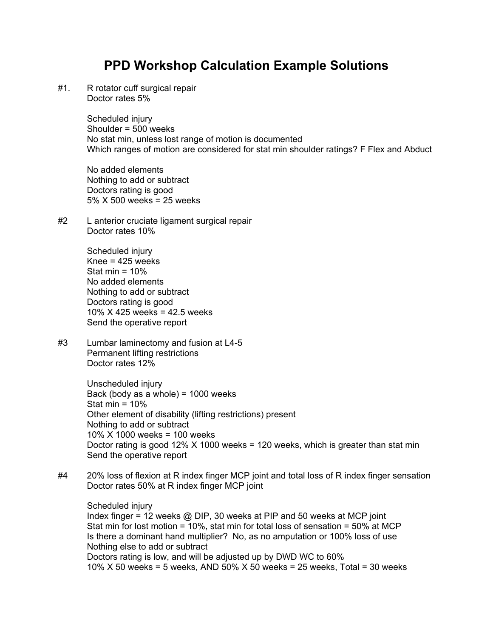## **PPD Workshop Calculation Example Solutions**

#1. R rotator cuff surgical repair Doctor rates 5%

> Scheduled injury Shoulder = 500 weeks No stat min, unless lost range of motion is documented Which ranges of motion are considered for stat min shoulder ratings? F Flex and Abduct

No added elements Nothing to add or subtract Doctors rating is good 5% X 500 weeks = 25 weeks

#2 L anterior cruciate ligament surgical repair Doctor rates 10%

> Scheduled injury Knee =  $425$  weeks Stat min  $= 10\%$ No added elements Nothing to add or subtract Doctors rating is good 10% X 425 weeks = 42.5 weeks Send the operative report

#3 Lumbar laminectomy and fusion at L4-5 Permanent lifting restrictions Doctor rates 12%

> Unscheduled injury Back (body as a whole) =  $1000$  weeks Stat min  $= 10\%$ Other element of disability (lifting restrictions) present Nothing to add or subtract 10% X 1000 weeks = 100 weeks Doctor rating is good  $12\%$  X 1000 weeks = 120 weeks, which is greater than stat min Send the operative report

#4 20% loss of flexion at R index finger MCP joint and total loss of R index finger sensation Doctor rates 50% at R index finger MCP joint

Scheduled injury Index finger = 12 weeks @ DIP, 30 weeks at PIP and 50 weeks at MCP joint Stat min for lost motion = 10%, stat min for total loss of sensation = 50% at MCP Is there a dominant hand multiplier? No, as no amputation or 100% loss of use Nothing else to add or subtract Doctors rating is low, and will be adjusted up by DWD WC to 60% 10% X 50 weeks = 5 weeks, AND 50% X 50 weeks = 25 weeks, Total = 30 weeks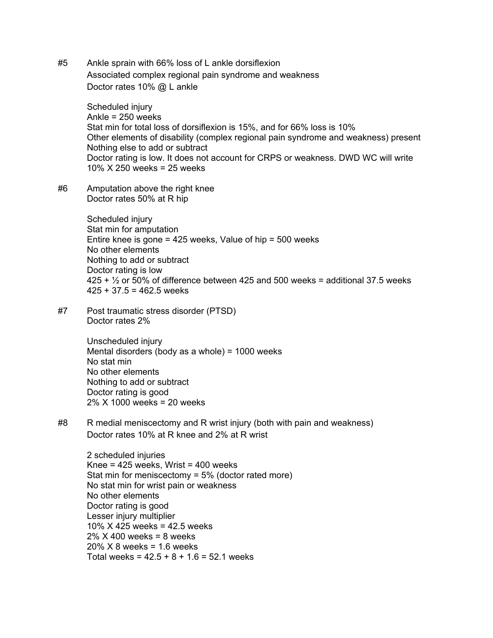#5 Ankle sprain with 66% loss of L ankle dorsiflexion Associated complex regional pain syndrome and weakness Doctor rates 10% @ L ankle

> Scheduled injury Ankle = 250 weeks Stat min for total loss of dorsiflexion is 15%, and for 66% loss is 10% Other elements of disability (complex regional pain syndrome and weakness) present Nothing else to add or subtract Doctor rating is low. It does not account for CRPS or weakness. DWD WC will write 10% X 250 weeks = 25 weeks

#6 Amputation above the right knee Doctor rates 50% at R hip

> Scheduled injury Stat min for amputation Entire knee is gone = 425 weeks, Value of hip = 500 weeks No other elements Nothing to add or subtract Doctor rating is low  $425 + \frac{1}{2}$  or 50% of difference between 425 and 500 weeks = additional 37.5 weeks  $425 + 37.5 = 462.5$  weeks

#7 Post traumatic stress disorder (PTSD) Doctor rates 2%

> Unscheduled injury Mental disorders (body as a whole) = 1000 weeks No stat min No other elements Nothing to add or subtract Doctor rating is good 2% X 1000 weeks = 20 weeks

#8 R medial meniscectomy and R wrist injury (both with pain and weakness) Doctor rates 10% at R knee and 2% at R wrist

2 scheduled injuries Knee =  $425$  weeks, Wrist =  $400$  weeks Stat min for meniscectomy =  $5\%$  (doctor rated more) No stat min for wrist pain or weakness No other elements Doctor rating is good Lesser injury multiplier 10% X 425 weeks = 42.5 weeks 2% X 400 weeks = 8 weeks 20% X 8 weeks = 1.6 weeks Total weeks =  $42.5 + 8 + 1.6 = 52.1$  weeks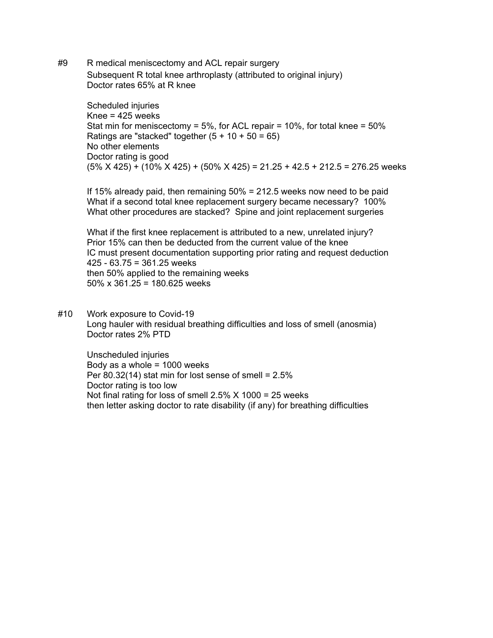#9 R medical meniscectomy and ACL repair surgery Subsequent R total knee arthroplasty (attributed to original injury) Doctor rates 65% at R knee

> Scheduled injuries Knee = 425 weeks Stat min for meniscectomy =  $5\%$ , for ACL repair =  $10\%$ , for total knee =  $50\%$ Ratings are "stacked" together  $(5 + 10 + 50 = 65)$ No other elements Doctor rating is good  $(5\% X 425) + (10\% X 425) + (50\% X 425) = 21.25 + 42.5 + 212.5 = 276.25$  weeks

If 15% already paid, then remaining 50% = 212.5 weeks now need to be paid What if a second total knee replacement surgery became necessary? 100% What other procedures are stacked? Spine and joint replacement surgeries

What if the first knee replacement is attributed to a new, unrelated injury? Prior 15% can then be deducted from the current value of the knee IC must present documentation supporting prior rating and request deduction 425 - 63.75 = 361.25 weeks then 50% applied to the remaining weeks 50% x 361.25 = 180.625 weeks

#10 Work exposure to Covid-19 Long hauler with residual breathing difficulties and loss of smell (anosmia) Doctor rates 2% PTD

Unscheduled injuries Body as a whole  $= 1000$  weeks Per  $80.32(14)$  stat min for lost sense of smell =  $2.5\%$ Doctor rating is too low Not final rating for loss of smell  $2.5\%$  X 1000 = 25 weeks then letter asking doctor to rate disability (if any) for breathing difficulties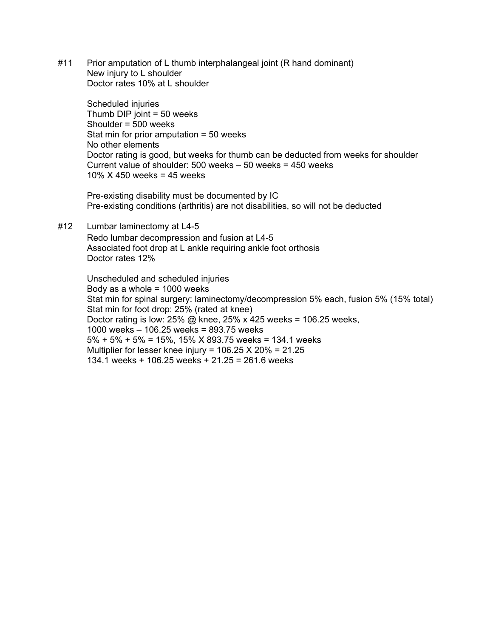#11 Prior amputation of L thumb interphalangeal joint (R hand dominant) New injury to L shoulder Doctor rates 10% at L shoulder

Scheduled injuries Thumb  $DIP$  joint = 50 weeks Shoulder = 500 weeks Stat min for prior amputation  $= 50$  weeks No other elements Doctor rating is good, but weeks for thumb can be deducted from weeks for shoulder Current value of shoulder: 500 weeks – 50 weeks = 450 weeks 10% X 450 weeks = 45 weeks

Pre-existing disability must be documented by IC Pre-existing conditions (arthritis) are not disabilities, so will not be deducted

#12 Lumbar laminectomy at L4-5

Redo lumbar decompression and fusion at L4-5 Associated foot drop at L ankle requiring ankle foot orthosis Doctor rates 12%

Unscheduled and scheduled injuries Body as a whole  $= 1000$  weeks Stat min for spinal surgery: laminectomy/decompression 5% each, fusion 5% (15% total) Stat min for foot drop: 25% (rated at knee) Doctor rating is low:  $25\%$  @ knee,  $25\%$  x 425 weeks = 106.25 weeks, 1000 weeks – 106.25 weeks = 893.75 weeks 5% + 5% + 5% = 15%, 15% X 893.75 weeks = 134.1 weeks Multiplier for lesser knee injury =  $106.25$  X  $20\%$  =  $21.25$ 134.1 weeks + 106.25 weeks + 21.25 = 261.6 weeks